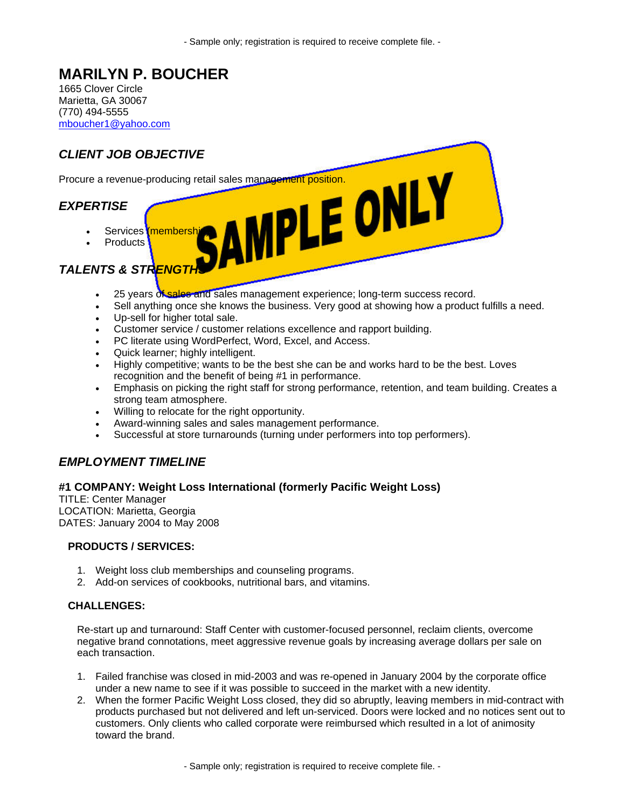- Sample only; registration is required to receive complete file. -

# **MARILYN P. BOUCHER**

1665 Clover Circle Marietta, GA 30067 (770) 494-5555 mboucher1@yahoo.com



## **TALENTS & STRENGT**

- 25 years of sales and sales management experience; long-term success record.
- Sell anything once she knows the business. Very good at showing how a product fulfills a need.
- Up-sell for higher total sale.
- Customer service / customer relations excellence and rapport building.
- PC literate using WordPerfect, Word, Excel, and Access.
- Quick learner; highly intelligent.
- Highly competitive; wants to be the best she can be and works hard to be the best. Loves recognition and the benefit of being #1 in performance.
- Emphasis on picking the right staff for strong performance, retention, and team building. Creates a strong team atmosphere.
- Willing to relocate for the right opportunity.
- Award-winning sales and sales management performance.
- Successful at store turnarounds (turning under performers into top performers).

### *EMPLOYMENT TIMELINE*

#### **#1 COMPANY: Weight Loss International (formerly Pacific Weight Loss)**

TITLE: Center Manager LOCATION: Marietta, Georgia DATES: January 2004 to May 2008

#### **PRODUCTS / SERVICES:**

- 1. Weight loss club memberships and counseling programs.
- 2. Add-on services of cookbooks, nutritional bars, and vitamins.

#### **CHALLENGES:**

Re-start up and turnaround: Staff Center with customer-focused personnel, reclaim clients, overcome negative brand connotations, meet aggressive revenue goals by increasing average dollars per sale on each transaction.

- 1. Failed franchise was closed in mid-2003 and was re-opened in January 2004 by the corporate office under a new name to see if it was possible to succeed in the market with a new identity.
- 2. When the former Pacific Weight Loss closed, they did so abruptly, leaving members in mid-contract with products purchased but not delivered and left un-serviced. Doors were locked and no notices sent out to customers. Only clients who called corporate were reimbursed which resulted in a lot of animosity toward the brand.

- Sample only; registration is required to receive complete file. -